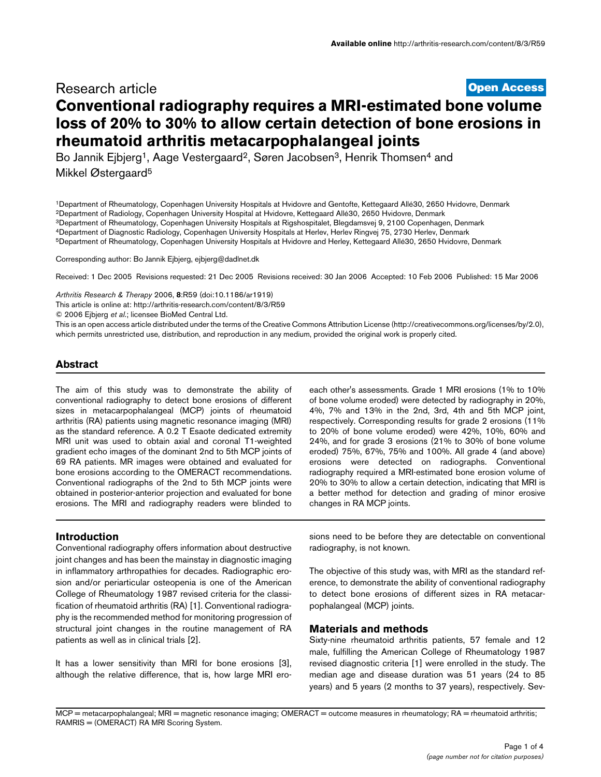# **[Open Access](http://www.biomedcentral.com/info/about/charter/)** Research article **Conventional radiography requires a MRI-estimated bone volume loss of 20% to 30% to allow certain detection of bone erosions in rheumatoid arthritis metacarpophalangeal joints**

Bo Jannik Ejbjerg<sup>1</sup>, Aage Vestergaard<sup>2</sup>, Søren Jacobsen<sup>3</sup>, Henrik Thomsen<sup>4</sup> and Mikkel Østergaard5

1Department of Rheumatology, Copenhagen University Hospitals at Hvidovre and Gentofte, Kettegaard Allé30, 2650 Hvidovre, Denmark 2Department of Radiology, Copenhagen University Hospital at Hvidovre, Kettegaard Allé30, 2650 Hvidovre, Denmark 3Department of Rheumatology, Copenhagen University Hospitals at Rigshospitalet, Blegdamsvej 9, 2100 Copenhagen, Denmark 4Department of Diagnostic Radiology, Copenhagen University Hospitals at Herlev, Herlev Ringvej 75, 2730 Herlev, Denmark 5Department of Rheumatology, Copenhagen University Hospitals at Hvidovre and Herley, Kettegaard Allé30, 2650 Hvidovre, Denmark

Corresponding author: Bo Jannik Ejbjerg, ejbjerg@dadlnet.dk

Received: 1 Dec 2005 Revisions requested: 21 Dec 2005 Revisions received: 30 Jan 2006 Accepted: 10 Feb 2006 Published: 15 Mar 2006

*Arthritis Research & Therapy* 2006, **8**:R59 (doi:10.1186/ar1919)

[This article is online at: http://arthritis-research.com/content/8/3/R59](http://arthritis-research.com/content/8/3/R59)

© 2006 Ejbjerg *et al*.; licensee BioMed Central Ltd.

This is an open access article distributed under the terms of the Creative Commons Attribution License (http://creativecommons.org/licenses/by/2.0), which permits unrestricted use, distribution, and reproduction in any medium, provided the original work is properly cited.

# **Abstract**

The aim of this study was to demonstrate the ability of conventional radiography to detect bone erosions of different sizes in metacarpophalangeal (MCP) joints of rheumatoid arthritis (RA) patients using magnetic resonance imaging (MRI) as the standard reference. A 0.2 T Esaote dedicated extremity MRI unit was used to obtain axial and coronal T1-weighted gradient echo images of the dominant 2nd to 5th MCP joints of 69 RA patients. MR images were obtained and evaluated for bone erosions according to the OMERACT recommendations. Conventional radiographs of the 2nd to 5th MCP joints were obtained in posterior-anterior projection and evaluated for bone erosions. The MRI and radiography readers were blinded to

each other's assessments. Grade 1 MRI erosions (1% to 10% of bone volume eroded) were detected by radiography in 20%, 4%, 7% and 13% in the 2nd, 3rd, 4th and 5th MCP joint, respectively. Corresponding results for grade 2 erosions (11% to 20% of bone volume eroded) were 42%, 10%, 60% and 24%, and for grade 3 erosions (21% to 30% of bone volume eroded) 75%, 67%, 75% and 100%. All grade 4 (and above) erosions were detected on radiographs. Conventional radiography required a MRI-estimated bone erosion volume of 20% to 30% to allow a certain detection, indicating that MRI is a better method for detection and grading of minor erosive changes in RA MCP joints.

### **Introduction**

Conventional radiography offers information about destructive joint changes and has been the mainstay in diagnostic imaging in inflammatory arthropathies for decades. Radiographic erosion and/or periarticular osteopenia is one of the American College of Rheumatology 1987 revised criteria for the classification of rheumatoid arthritis (RA) [1]. Conventional radiography is the recommended method for monitoring progression of structural joint changes in the routine management of RA patients as well as in clinical trials [2].

It has a lower sensitivity than MRI for bone erosions [3], although the relative difference, that is, how large MRI ero-

sions need to be before they are detectable on conventional radiography, is not known.

The objective of this study was, with MRI as the standard reference, to demonstrate the ability of conventional radiography to detect bone erosions of different sizes in RA metacarpophalangeal (MCP) joints.

### **Materials and methods**

Sixty-nine rheumatoid arthritis patients, 57 female and 12 male, fulfilling the American College of Rheumatology 1987 revised diagnostic criteria [1] were enrolled in the study. The median age and disease duration was 51 years (24 to 85 years) and 5 years (2 months to 37 years), respectively. Sev-

MCP = metacarpophalangeal; MRI = magnetic resonance imaging; OMERACT = outcome measures in rheumatology; RA = rheumatoid arthritis; RAMRIS = (OMERACT) RA MRI Scoring System.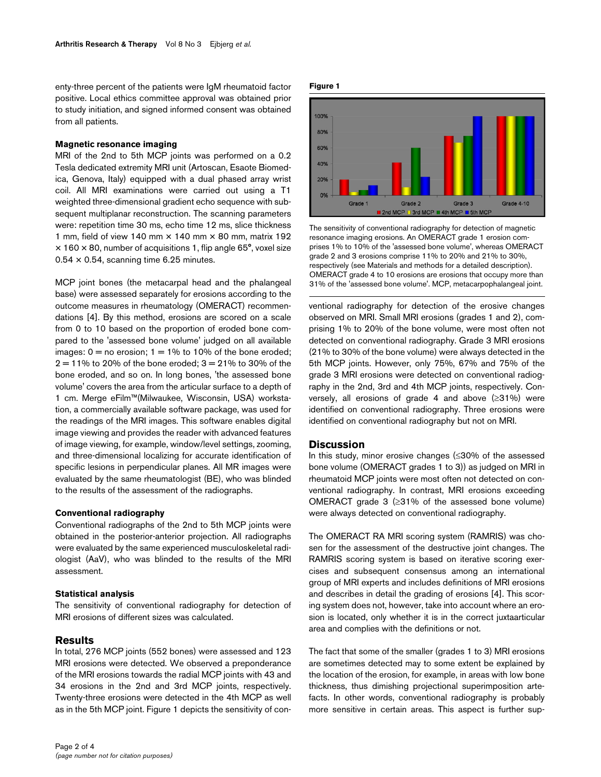enty-three percent of the patients were IgM rheumatoid factor positive. Local ethics committee approval was obtained prior to study initiation, and signed informed consent was obtained from all patients.

### **Magnetic resonance imaging**

MRI of the 2nd to 5th MCP joints was performed on a 0.2 Tesla dedicated extremity MRI unit (Artoscan, Esaote Biomedica, Genova, Italy) equipped with a dual phased array wrist coil. All MRI examinations were carried out using a T1 weighted three-dimensional gradient echo sequence with subsequent multiplanar reconstruction. The scanning parameters were: repetition time 30 ms, echo time 12 ms, slice thickness 1 mm, field of view 140 mm  $\times$  140 mm  $\times$  80 mm, matrix 192  $\times$  160  $\times$  80, number of acquisitions 1, flip angle 65°, voxel size  $0.54 \times 0.54$ , scanning time 6.25 minutes.

MCP joint bones (the metacarpal head and the phalangeal base) were assessed separately for erosions according to the outcome measures in rheumatology (OMERACT) recommendations [4]. By this method, erosions are scored on a scale from 0 to 10 based on the proportion of eroded bone compared to the 'assessed bone volume' judged on all available images:  $0 =$  no erosion;  $1 = 1\%$  to 10% of the bone eroded;  $2 = 11\%$  to 20% of the bone eroded;  $3 = 21\%$  to 30% of the bone eroded, and so on. In long bones, 'the assessed bone volume' covers the area from the articular surface to a depth of 1 cm. Merge eFilm™(Milwaukee, Wisconsin, USA) workstation, a commercially available software package, was used for the readings of the MRI images. This software enables digital image viewing and provides the reader with advanced features of image viewing, for example, window/level settings, zooming, and three-dimensional localizing for accurate identification of specific lesions in perpendicular planes. All MR images were evaluated by the same rheumatologist (BE), who was blinded to the results of the assessment of the radiographs.

#### **Conventional radiography**

Conventional radiographs of the 2nd to 5th MCP joints were obtained in the posterior-anterior projection. All radiographs were evaluated by the same experienced musculoskeletal radiologist (AaV), who was blinded to the results of the MRI assessment.

### **Statistical analysis**

The sensitivity of conventional radiography for detection of MRI erosions of different sizes was calculated.

### **Results**

In total, 276 MCP joints (552 bones) were assessed and 123 MRI erosions were detected. We observed a preponderance of the MRI erosions towards the radial MCP joints with 43 and 34 erosions in the 2nd and 3rd MCP joints, respectively. Twenty-three erosions were detected in the 4th MCP as well as in the 5th MCP joint. Figure 1 depicts the sensitivity of con-

#### **Figure 1**



The sensitivity of conventional radiography for detection of magnetic resonance imaging erosions. An OMERACT grade 1 erosion comprises 1% to 10% of the 'assessed bone volume', whereas OMERACT grade 2 and 3 erosions comprise 11% to 20% and 21% to 30%, respectively (see Materials and methods for a detailed description). OMERACT grade 4 to 10 erosions are erosions that occupy more than 31% of the 'assessed bone volume'. MCP, metacarpophalangeal joint.

ventional radiography for detection of the erosive changes observed on MRI. Small MRI erosions (grades 1 and 2), comprising 1% to 20% of the bone volume, were most often not detected on conventional radiography. Grade 3 MRI erosions (21% to 30% of the bone volume) were always detected in the 5th MCP joints. However, only 75%, 67% and 75% of the grade 3 MRI erosions were detected on conventional radiography in the 2nd, 3rd and 4th MCP joints, respectively. Conversely, all erosions of grade 4 and above (≥31%) were identified on conventional radiography. Three erosions were identified on conventional radiography but not on MRI.

### **Discussion**

In this study, minor erosive changes (≤30% of the assessed bone volume (OMERACT grades 1 to 3)) as judged on MRI in rheumatoid MCP joints were most often not detected on conventional radiography. In contrast, MRI erosions exceeding OMERACT grade 3 (≥31% of the assessed bone volume) were always detected on conventional radiography.

The OMERACT RA MRI scoring system (RAMRIS) was chosen for the assessment of the destructive joint changes. The RAMRIS scoring system is based on iterative scoring exercises and subsequent consensus among an international group of MRI experts and includes definitions of MRI erosions and describes in detail the grading of erosions [4]. This scoring system does not, however, take into account where an erosion is located, only whether it is in the correct juxtaarticular area and complies with the definitions or not.

The fact that some of the smaller (grades 1 to 3) MRI erosions are sometimes detected may to some extent be explained by the location of the erosion, for example, in areas with low bone thickness, thus dimishing projectional superimposition artefacts. In other words, conventional radiography is probably more sensitive in certain areas. This aspect is further sup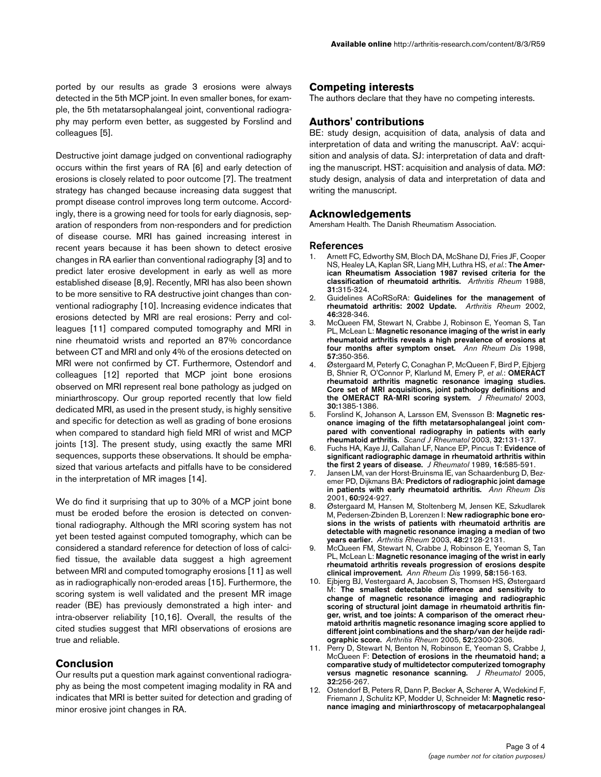Destructive joint damage judged on conventional radiography occurs within the first years of RA [6] and early detection of erosions is closely related to poor outcome [7]. The treatment strategy has changed because increasing data suggest that prompt disease control improves long term outcome. Accordingly, there is a growing need for tools for early diagnosis, separation of responders from non-responders and for prediction of disease course. MRI has gained increasing interest in recent years because it has been shown to detect erosive changes in RA earlier than conventional radiography [3] and to predict later erosive development in early as well as more established disease [8,9]. Recently, MRI has also been shown to be more sensitive to RA destructive joint changes than conventional radiography [10]. Increasing evidence indicates that erosions detected by MRI are real erosions: Perry and colleagues [11] compared computed tomography and MRI in nine rheumatoid wrists and reported an 87% concordance between CT and MRI and only 4% of the erosions detected on MRI were not confirmed by CT. Furthermore, Ostendorf and colleagues [12] reported that MCP joint bone erosions observed on MRI represent real bone pathology as judged on miniarthroscopy. Our group reported recently that low field dedicated MRI, as used in the present study, is highly sensitive and specific for detection as well as grading of bone erosions when compared to standard high field MRI of wrist and MCP joints [13]. The present study, using exactly the same MRI sequences, supports these observations. It should be emphasized that various artefacts and pitfalls have to be considered in the interpretation of MR images [14].

We do find it surprising that up to 30% of a MCP joint bone must be eroded before the erosion is detected on conventional radiography. Although the MRI scoring system has not yet been tested against computed tomography, which can be considered a standard reference for detection of loss of calcified tissue, the available data suggest a high agreement between MRI and computed tomography erosions [11] as well as in radiographically non-eroded areas [15]. Furthermore, the scoring system is well validated and the present MR image reader (BE) has previously demonstrated a high inter- and intra-observer reliability [10,16]. Overall, the results of the cited studies suggest that MRI observations of erosions are true and reliable.

# **Conclusion**

Our results put a question mark against conventional radiography as being the most competent imaging modality in RA and indicates that MRI is better suited for detection and grading of minor erosive joint changes in RA.

# **Competing interests**

The authors declare that they have no competing interests.

# **Authors' contributions**

BE: study design, acquisition of data, analysis of data and interpretation of data and writing the manuscript. AaV: acquisition and analysis of data. SJ: interpretation of data and drafting the manuscript. HST: acquisition and analysis of data. MØ: study design, analysis of data and interpretation of data and writing the manuscript.

### **Acknowledgements**

Amersham Health. The Danish Rheumatism Association.

### **References**

- 1. Arnett FC, Edworthy SM, Bloch DA, McShane DJ, Fries JF, Cooper NS, Healey LA, Kaplan SR, Liang MH, Luthra HS, *et al.*: **[The Amer](http://www.ncbi.nlm.nih.gov/entrez/query.fcgi?cmd=Retrieve&db=PubMed&dopt=Abstract&list_uids=3358796)[ican Rheumatism Association 1987 revised criteria for the](http://www.ncbi.nlm.nih.gov/entrez/query.fcgi?cmd=Retrieve&db=PubMed&dopt=Abstract&list_uids=3358796) [classification of rheumatoid arthritis.](http://www.ncbi.nlm.nih.gov/entrez/query.fcgi?cmd=Retrieve&db=PubMed&dopt=Abstract&list_uids=3358796)** *Arthritis Rheum* 1988, **31:**315-324.
- 2. Guidelines ACoRSoRA: **[Guidelines for the management of](http://www.ncbi.nlm.nih.gov/entrez/query.fcgi?cmd=Retrieve&db=PubMed&dopt=Abstract&list_uids=11840435) [rheumatoid arthritis: 2002 Update.](http://www.ncbi.nlm.nih.gov/entrez/query.fcgi?cmd=Retrieve&db=PubMed&dopt=Abstract&list_uids=11840435)** *Arthritis Rheum* 2002, **46:**328-346.
- 3. McQueen FM, Stewart N, Crabbe J, Robinson E, Yeoman S, Tan PL, McLean L: **[Magnetic resonance imaging of the wrist in early](http://www.ncbi.nlm.nih.gov/entrez/query.fcgi?cmd=Retrieve&db=PubMed&dopt=Abstract&list_uids=9771209) [rheumatoid arthritis reveals a high prevalence of erosions at](http://www.ncbi.nlm.nih.gov/entrez/query.fcgi?cmd=Retrieve&db=PubMed&dopt=Abstract&list_uids=9771209) [four months after symptom onset.](http://www.ncbi.nlm.nih.gov/entrez/query.fcgi?cmd=Retrieve&db=PubMed&dopt=Abstract&list_uids=9771209)** *Ann Rheum Dis* 1998, **57:**350-356.
- 4. Østergaard M, Peterfy C, Conaghan P, McQueen F, Bird P, Ejbjerg B, Shnier R, O'Connor P, Klarlund M, Emery P, *et al.*: **[OMERACT](http://www.ncbi.nlm.nih.gov/entrez/query.fcgi?cmd=Retrieve&db=PubMed&dopt=Abstract&list_uids=12784422) [rheumatoid arthritis magnetic resonance imaging studies.](http://www.ncbi.nlm.nih.gov/entrez/query.fcgi?cmd=Retrieve&db=PubMed&dopt=Abstract&list_uids=12784422) Core set of MRI acquisitions, joint pathology definitions and [the OMERACT RA-MRI scoring system.](http://www.ncbi.nlm.nih.gov/entrez/query.fcgi?cmd=Retrieve&db=PubMed&dopt=Abstract&list_uids=12784422)** *J Rheumatol* 2003, **30:**1385-1386.
- 5. Forslind K, Johanson A, Larsson EM, Svensson B: **[Magnetic res](http://www.ncbi.nlm.nih.gov/entrez/query.fcgi?cmd=Retrieve&db=PubMed&dopt=Abstract&list_uids=12892248)onance imaging of the fifth metatarsophalangeal joint com[pared with conventional radiography in patients with early](http://www.ncbi.nlm.nih.gov/entrez/query.fcgi?cmd=Retrieve&db=PubMed&dopt=Abstract&list_uids=12892248) [rheumatoid arthritis.](http://www.ncbi.nlm.nih.gov/entrez/query.fcgi?cmd=Retrieve&db=PubMed&dopt=Abstract&list_uids=12892248)** *Scand J Rheumatol* 2003, **32:**131-137.
- 6. Fuchs HA, Kaye JJ, Callahan LF, Nance EP, Pincus T: **[Evidence of](http://www.ncbi.nlm.nih.gov/entrez/query.fcgi?cmd=Retrieve&db=PubMed&dopt=Abstract&list_uids=2754663) [significant radiographic damage in rheumatoid arthritis within](http://www.ncbi.nlm.nih.gov/entrez/query.fcgi?cmd=Retrieve&db=PubMed&dopt=Abstract&list_uids=2754663) [the first 2 years of disease.](http://www.ncbi.nlm.nih.gov/entrez/query.fcgi?cmd=Retrieve&db=PubMed&dopt=Abstract&list_uids=2754663)** *J Rheumatol* 1989, **16:**585-591.
- 7. Jansen LM, van der Horst-Bruinsma IE, van Schaardenburg D, Bezemer PD, Dijkmans BA: **[Predictors of radiographic joint damage](http://www.ncbi.nlm.nih.gov/entrez/query.fcgi?cmd=Retrieve&db=PubMed&dopt=Abstract&list_uids=11557647) [in patients with early rheumatoid arthritis.](http://www.ncbi.nlm.nih.gov/entrez/query.fcgi?cmd=Retrieve&db=PubMed&dopt=Abstract&list_uids=11557647)** *Ann Rheum Dis* 2001, **60:**924-927.
- 8. Østergaard M, Hansen M, Stoltenberg M, Jensen KE, Szkudlarek M, Pedersen-Zbinden B, Lorenzen I: **[New radiographic bone ero](http://www.ncbi.nlm.nih.gov/entrez/query.fcgi?cmd=Retrieve&db=PubMed&dopt=Abstract&list_uids=12905465)sions in the wrists of patients with rheumatoid arthritis are [detectable with magnetic resonance imaging a median of two](http://www.ncbi.nlm.nih.gov/entrez/query.fcgi?cmd=Retrieve&db=PubMed&dopt=Abstract&list_uids=12905465) [years earlier.](http://www.ncbi.nlm.nih.gov/entrez/query.fcgi?cmd=Retrieve&db=PubMed&dopt=Abstract&list_uids=12905465)** *Arthritis Rheum* 2003, **48:**2128-2131.
- 9. McQueen FM, Stewart N, Crabbe J, Robinson E, Yeoman S, Tan PL, McLean L: **[Magnetic resonance imaging of the wrist in early](http://www.ncbi.nlm.nih.gov/entrez/query.fcgi?cmd=Retrieve&db=PubMed&dopt=Abstract&list_uids=10364913) [rheumatoid arthritis reveals progression of erosions despite](http://www.ncbi.nlm.nih.gov/entrez/query.fcgi?cmd=Retrieve&db=PubMed&dopt=Abstract&list_uids=10364913) [clinical improvement.](http://www.ncbi.nlm.nih.gov/entrez/query.fcgi?cmd=Retrieve&db=PubMed&dopt=Abstract&list_uids=10364913)** *Ann Rheum Dis* 1999, **58:**156-163.
- 10. Ejbjerg BJ, Vestergaard A, Jacobsen S, Thomsen HS, Østergaard M: **[The smallest detectable difference and sensitivity to](http://www.ncbi.nlm.nih.gov/entrez/query.fcgi?cmd=Retrieve&db=PubMed&dopt=Abstract&list_uids=16052593) [change of magnetic resonance imaging and radiographic](http://www.ncbi.nlm.nih.gov/entrez/query.fcgi?cmd=Retrieve&db=PubMed&dopt=Abstract&list_uids=16052593) scoring of structural joint damage in rheumatoid arthritis finger, wrist, and toe joints: A comparison of the omeract rheumatoid arthritis magnetic resonance imaging score applied to different joint combinations and the sharp/van der heijde radi[ographic score.](http://www.ncbi.nlm.nih.gov/entrez/query.fcgi?cmd=Retrieve&db=PubMed&dopt=Abstract&list_uids=16052593)** *Arthritis Rheum* 2005, **52:**2300-2306.
- 11. Perry D, Stewart N, Benton N, Robinson E, Yeoman S, Crabbe J, McQueen F: **[Detection of erosions in the rheumatoid hand; a](http://www.ncbi.nlm.nih.gov/entrez/query.fcgi?cmd=Retrieve&db=PubMed&dopt=Abstract&list_uids=15693085) [comparative study of multidetector computerized tomography](http://www.ncbi.nlm.nih.gov/entrez/query.fcgi?cmd=Retrieve&db=PubMed&dopt=Abstract&list_uids=15693085) [versus magnetic resonance scanning.](http://www.ncbi.nlm.nih.gov/entrez/query.fcgi?cmd=Retrieve&db=PubMed&dopt=Abstract&list_uids=15693085)** *J Rheumatol* 2005, **32:**256-267.
- 12. Ostendorf B, Peters R, Dann P, Becker A, Scherer A, Wedekind F, Friemann J, Schulitz KP, Modder U, Schneider M: **[Magnetic reso](http://www.ncbi.nlm.nih.gov/entrez/query.fcgi?cmd=Retrieve&db=PubMed&dopt=Abstract&list_uids=11710705)[nance imaging and miniarthroscopy of metacarpophalangeal](http://www.ncbi.nlm.nih.gov/entrez/query.fcgi?cmd=Retrieve&db=PubMed&dopt=Abstract&list_uids=11710705)**